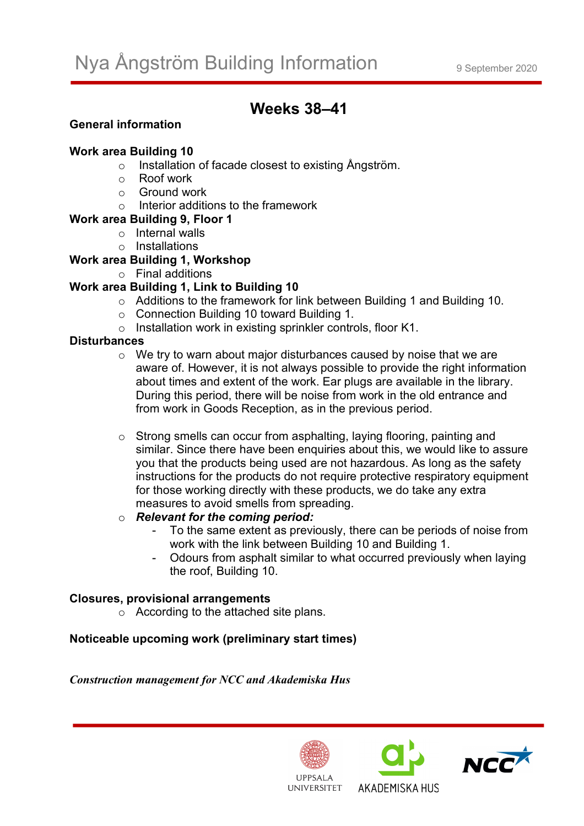# **Weeks 38–41**

# **General information**

#### **Work area Building 10**

- o Installation of facade closest to existing Ångström.
- o Roof work
- $\circ$  Ground work
- o Interior additions to the framework
- **Work area Building 9, Floor 1**
	- o Internal walls
		- o Installations

## **Work area Building 1, Workshop**

o Final additions

# **Work area Building 1, Link to Building 10**

- o Additions to the framework for link between Building 1 and Building 10.
- o Connection Building 10 toward Building 1.
- o Installation work in existing sprinkler controls, floor K1.

#### **Disturbances**

- o We try to warn about major disturbances caused by noise that we are aware of. However, it is not always possible to provide the right information about times and extent of the work. Ear plugs are available in the library. During this period, there will be noise from work in the old entrance and from work in Goods Reception, as in the previous period.
- o Strong smells can occur from asphalting, laying flooring, painting and similar. Since there have been enquiries about this, we would like to assure you that the products being used are not hazardous. As long as the safety instructions for the products do not require protective respiratory equipment for those working directly with these products, we do take any extra measures to avoid smells from spreading.

# o *Relevant for the coming period:*

- To the same extent as previously, there can be periods of noise from work with the link between Building 10 and Building 1.
- Odours from asphalt similar to what occurred previously when laying the roof, Building 10.

## **Closures, provisional arrangements**

o According to the attached site plans.

## **Noticeable upcoming work (preliminary start times)**

*Construction management for NCC and Akademiska Hus*



AKADEMISKA HUS